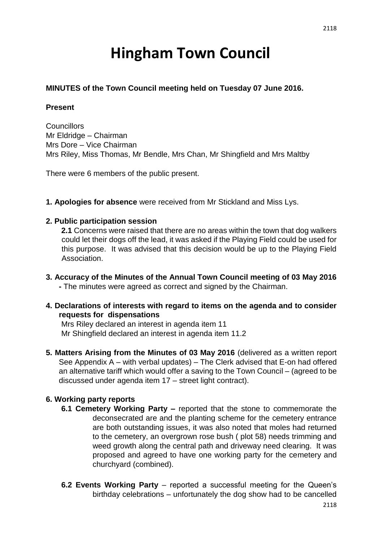# **Hingham Town Council**

#### **MINUTES of the Town Council meeting held on Tuesday 07 June 2016.**

#### **Present**

**Councillors** Mr Eldridge – Chairman Mrs Dore – Vice Chairman Mrs Riley, Miss Thomas, Mr Bendle, Mrs Chan, Mr Shingfield and Mrs Maltby

There were 6 members of the public present.

**1. Apologies for absence** were received from Mr Stickland and Miss Lys.

#### **2. Public participation session**

**2.1** Concerns were raised that there are no areas within the town that dog walkers could let their dogs off the lead, it was asked if the Playing Field could be used for this purpose. It was advised that this decision would be up to the Playing Field Association.

- **3. Accuracy of the Minutes of the Annual Town Council meeting of 03 May 2016 -** The minutes were agreed as correct and signed by the Chairman.
- **4. Declarations of interests with regard to items on the agenda and to consider requests for dispensations**

Mrs Riley declared an interest in agenda item 11 Mr Shingfield declared an interest in agenda item 11.2

**5. Matters Arising from the Minutes of 03 May 2016** (delivered as a written report See Appendix A – with verbal updates) – The Clerk advised that E-on had offered an alternative tariff which would offer a saving to the Town Council – (agreed to be discussed under agenda item 17 – street light contract).

#### **6. Working party reports**

- **6.1 Cemetery Working Party –** reported that the stone to commemorate the deconsecrated are and the planting scheme for the cemetery entrance are both outstanding issues, it was also noted that moles had returned to the cemetery, an overgrown rose bush ( plot 58) needs trimming and weed growth along the central path and driveway need clearing. It was proposed and agreed to have one working party for the cemetery and churchyard (combined).
- **6.2 Events Working Party** reported a successful meeting for the Queen's birthday celebrations – unfortunately the dog show had to be cancelled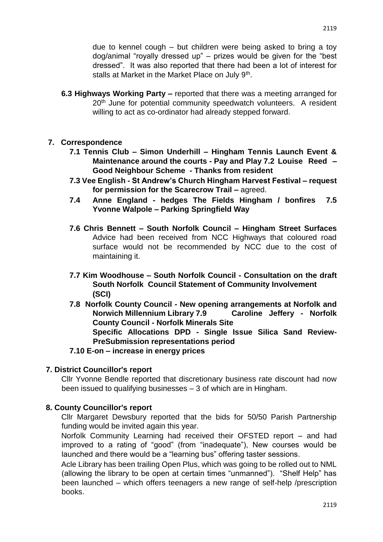due to kennel cough – but children were being asked to bring a toy dog/animal "royally dressed up" – prizes would be given for the "best dressed". It was also reported that there had been a lot of interest for stalls at Market in the Market Place on July 9<sup>th</sup>.

**6.3 Highways Working Party –** reported that there was a meeting arranged for 20<sup>th</sup> June for potential community speedwatch volunteers. A resident willing to act as co-ordinator had already stepped forward.

#### **7. Correspondence**

- **7.1 Tennis Club – Simon Underhill – Hingham Tennis Launch Event & Maintenance around the courts - Pay and Play 7.2 Louise Reed – Good Neighbour Scheme - Thanks from resident**
- **7.3 Vee English - St Andrew's Church Hingham Harvest Festival – request for permission for the Scarecrow Trail –** agreed.
- **7.4 Anne England - hedges The Fields Hingham / bonfires 7.5 Yvonne Walpole – Parking Springfield Way**
- **7.6 Chris Bennett – South Norfolk Council – Hingham Street Surfaces** Advice had been received from NCC Highways that coloured road surface would not be recommended by NCC due to the cost of maintaining it.
- **7.7 Kim Woodhouse – South Norfolk Council - Consultation on the draft South Norfolk Council Statement of Community Involvement (SCI)**
- **7.8 Norfolk County Council - New opening arrangements at Norfolk and Norwich Millennium Library 7.9 Caroline Jeffery - Norfolk County Council - Norfolk Minerals Site**

**Specific Allocations DPD - Single Issue Silica Sand Review-PreSubmission representations period** 

#### **7.10 E-on – increase in energy prices**

#### **7. District Councillor's report**

Cllr Yvonne Bendle reported that discretionary business rate discount had now been issued to qualifying businesses – 3 of which are in Hingham.

#### **8. County Councillor's report**

Cllr Margaret Dewsbury reported that the bids for 50/50 Parish Partnership funding would be invited again this year.

Norfolk Community Learning had received their OFSTED report – and had improved to a rating of "good" (from "inadequate"), New courses would be launched and there would be a "learning bus" offering taster sessions.

Acle Library has been trailing Open Plus, which was going to be rolled out to NML (allowing the library to be open at certain times "unmanned"). "Shelf Help" has been launched – which offers teenagers a new range of self-help /prescription books.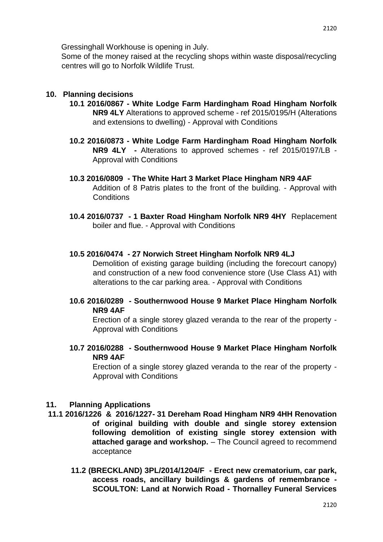Some of the money raised at the recycling shops within waste disposal/recycling centres will go to Norfolk Wildlife Trust.

#### **10. Planning decisions**

- **10.1 2016/0867 - White Lodge Farm Hardingham Road Hingham Norfolk NR9 4LY** Alterations to approved scheme - ref 2015/0195/H (Alterations and extensions to dwelling) - Approval with Conditions
- **10.2 2016/0873 - White Lodge Farm Hardingham Road Hingham Norfolk NR9 4LY -** Alterations to approved schemes - ref 2015/0197/LB - Approval with Conditions
- **10.3 2016/0809 - The White Hart 3 Market Place Hingham NR9 4AF**  Addition of 8 Patris plates to the front of the building. - Approval with **Conditions**
- **10.4 2016/0737 - 1 Baxter Road Hingham Norfolk NR9 4HY** Replacement boiler and flue. - Approval with Conditions

#### **10.5 2016/0474 - 27 Norwich Street Hingham Norfolk NR9 4LJ**

Demolition of existing garage building (including the forecourt canopy) and construction of a new food convenience store (Use Class A1) with alterations to the car parking area. - Approval with Conditions

**10.6 2016/0289 - Southernwood House 9 Market Place Hingham Norfolk NR9 4AF** 

Erection of a single storey glazed veranda to the rear of the property - Approval with Conditions

**10.7 2016/0288 - Southernwood House 9 Market Place Hingham Norfolk NR9 4AF** 

Erection of a single storey glazed veranda to the rear of the property - Approval with Conditions

#### **11. Planning Applications**

- **11.1 2016/1226 & 2016/1227- 31 Dereham Road Hingham NR9 4HH Renovation of original building with double and single storey extension following demolition of existing single storey extension with attached garage and workshop.** – The Council agreed to recommend acceptance
	- **11.2 (BRECKLAND) 3PL/2014/1204/F - Erect new crematorium, car park, access roads, ancillary buildings & gardens of remembrance - SCOULTON: Land at Norwich Road - Thornalley Funeral Services**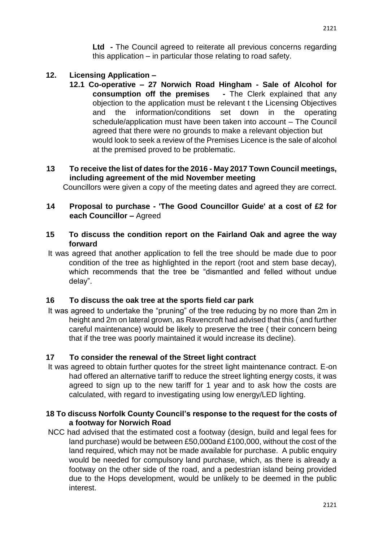**Ltd -** The Council agreed to reiterate all previous concerns regarding this application – in particular those relating to road safety.

### **12. Licensing Application –**

**12.1 Co-operative – 27 Norwich Road Hingham - Sale of Alcohol for consumption off the premises -** The Clerk explained that any objection to the application must be relevant t the Licensing Objectives and the information/conditions set down in the operating schedule/application must have been taken into account – The Council agreed that there were no grounds to make a relevant objection but would look to seek a review of the Premises Licence is the sale of alcohol at the premised proved to be problematic.

## **13 To receive the list of dates for the 2016 - May 2017 Town Council meetings, including agreement of the mid November meeting**

Councillors were given a copy of the meeting dates and agreed they are correct.

#### **14 Proposal to purchase - 'The Good Councillor Guide' at a cost of £2 for each Councillor –** Agreed

- **15 To discuss the condition report on the Fairland Oak and agree the way forward**
- It was agreed that another application to fell the tree should be made due to poor condition of the tree as highlighted in the report (root and stem base decay), which recommends that the tree be "dismantled and felled without undue delay".

#### **16 To discuss the oak tree at the sports field car park**

It was agreed to undertake the "pruning" of the tree reducing by no more than 2m in height and 2m on lateral grown, as Ravencroft had advised that this ( and further careful maintenance) would be likely to preserve the tree ( their concern being that if the tree was poorly maintained it would increase its decline).

#### **17 To consider the renewal of the Street light contract**

It was agreed to obtain further quotes for the street light maintenance contract. E-on had offered an alternative tariff to reduce the street lighting energy costs, it was agreed to sign up to the new tariff for 1 year and to ask how the costs are calculated, with regard to investigating using low energy/LED lighting.

#### **18 To discuss Norfolk County Council's response to the request for the costs of a footway for Norwich Road**

NCC had advised that the estimated cost a footway (design, build and legal fees for land purchase) would be between £50,000and £100,000, without the cost of the land required, which may not be made available for purchase. A public enquiry would be needed for compulsory land purchase, which, as there is already a footway on the other side of the road, and a pedestrian island being provided due to the Hops development, would be unlikely to be deemed in the public interest.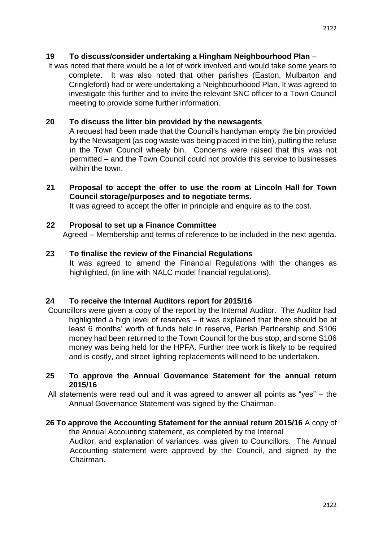#### **19 To discuss/consider undertaking a Hingham Neighbourhood Plan** –

It was noted that there would be a lot of work involved and would take some years to complete. It was also noted that other parishes (Easton, Mulbarton and Cringleford) had or were undertaking a Neighbourhoood Plan. It was agreed to investigate this further and to invite the relevant SNC officer to a Town Council meeting to provide some further information.

#### **20 To discuss the litter bin provided by the newsagents**

A request had been made that the Council's handyman empty the bin provided by the Newsagent (as dog waste was being placed in the bin), putting the refuse in the Town Council wheely bin. Concerns were raised that this was not permitted – and the Town Council could not provide this service to businesses within the town

**21 Proposal to accept the offer to use the room at Lincoln Hall for Town Council storage/purposes and to negotiate terms.** 

It was agreed to accept the offer in principle and enquire as to the cost.

#### **22 Proposal to set up a Finance Committee**

Agreed – Membership and terms of reference to be included in the next agenda.

#### **23 To finalise the review of the Financial Regulations**

It was agreed to amend the Financial Regulations with the changes as highlighted, (in line with NALC model financial regulations).

#### **24 To receive the Internal Auditors report for 2015/16**

Councillors were given a copy of the report by the Internal Auditor. The Auditor had highlighted a high level of reserves – it was explained that there should be at least 6 months' worth of funds held in reserve, Parish Partnership and S106 money had been returned to the Town Council for the bus stop, and some S106 money was being held for the HPFA. Further tree work is likely to be required and is costly, and street lighting replacements will need to be undertaken.

#### **25 To approve the Annual Governance Statement for the annual return 2015/16**

All statements were read out and it was agreed to answer all points as "yes" – the Annual Governance Statement was signed by the Chairman.

#### **26 To approve the Accounting Statement for the annual return 2015/16** A copy of the Annual Accounting statement, as completed by the Internal

Auditor, and explanation of variances, was given to Councillors. The Annual Accounting statement were approved by the Council, and signed by the Chairman.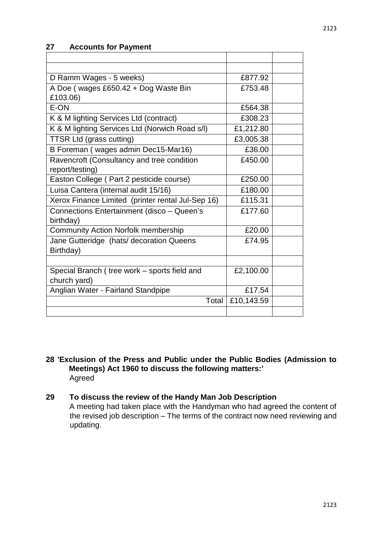## **27 Accounts for Payment**

| D Ramm Wages - 5 weeks)                           | £877.92    |  |
|---------------------------------------------------|------------|--|
| A Doe (wages £650.42 + Dog Waste Bin              | £753.48    |  |
| £103.06)                                          |            |  |
| E-ON                                              | £564.38    |  |
| K & M lighting Services Ltd (contract)            | £308.23    |  |
| K & M lighting Services Ltd (Norwich Road s/l)    | £1,212.80  |  |
| <b>TTSR Ltd (grass cutting)</b>                   | £3,005.38  |  |
| B Foreman (wages admin Dec15-Mar16)               | £36.00     |  |
| Ravencroft (Consultancy and tree condition        | £450.00    |  |
| report/testing)                                   |            |  |
| Easton College (Part 2 pesticide course)          | £250.00    |  |
| Luisa Cantera (internal audit 15/16)              | £180.00    |  |
| Xerox Finance Limited (printer rental Jul-Sep 16) | £115.31    |  |
| Connections Entertainment (disco - Queen's        | £177.60    |  |
| birthday)                                         |            |  |
| <b>Community Action Norfolk membership</b>        | £20.00     |  |
| Jane Gutteridge (hats/ decoration Queens          | £74.95     |  |
| Birthday)                                         |            |  |
|                                                   |            |  |
| Special Branch (tree work - sports field and      | £2,100.00  |  |
| church yard)                                      |            |  |
| Anglian Water - Fairland Standpipe                | £17.54     |  |
| Total                                             | £10,143.59 |  |
|                                                   |            |  |

**28 'Exclusion of the Press and Public under the Public Bodies (Admission to Meetings) Act 1960 to discuss the following matters:'**  Agreed

## **29 To discuss the review of the Handy Man Job Description**

A meeting had taken place with the Handyman who had agreed the content of the revised job description – The terms of the contract now need reviewing and updating.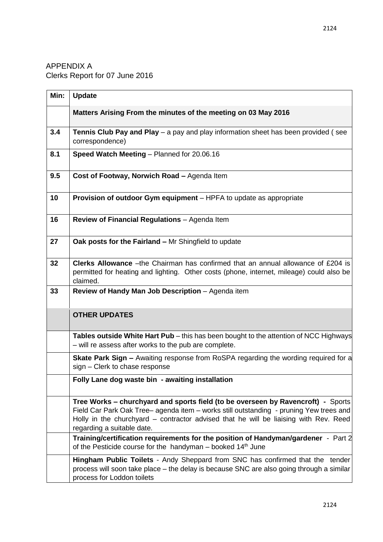## APPENDIX A Clerks Report for 07 June 2016

| Min: | <b>Update</b>                                                                                                                                                                                                                                                                                    |
|------|--------------------------------------------------------------------------------------------------------------------------------------------------------------------------------------------------------------------------------------------------------------------------------------------------|
|      | Matters Arising From the minutes of the meeting on 03 May 2016                                                                                                                                                                                                                                   |
| 3.4  | <b>Tennis Club Pay and Play</b> $-$ a pay and play information sheet has been provided (see<br>correspondence)                                                                                                                                                                                   |
| 8.1  | Speed Watch Meeting - Planned for 20.06.16                                                                                                                                                                                                                                                       |
| 9.5  | Cost of Footway, Norwich Road - Agenda Item                                                                                                                                                                                                                                                      |
| 10   | Provision of outdoor Gym equipment - HPFA to update as appropriate                                                                                                                                                                                                                               |
| 16   | Review of Financial Regulations - Agenda Item                                                                                                                                                                                                                                                    |
| 27   | Oak posts for the Fairland - Mr Shingfield to update                                                                                                                                                                                                                                             |
| 32   | Clerks Allowance -the Chairman has confirmed that an annual allowance of £204 is<br>permitted for heating and lighting. Other costs (phone, internet, mileage) could also be<br>claimed.                                                                                                         |
| 33   | Review of Handy Man Job Description - Agenda item                                                                                                                                                                                                                                                |
|      | <b>OTHER UPDATES</b>                                                                                                                                                                                                                                                                             |
|      | Tables outside White Hart Pub - this has been bought to the attention of NCC Highways<br>- will re assess after works to the pub are complete.                                                                                                                                                   |
|      | Skate Park Sign - Awaiting response from RoSPA regarding the wording required for a<br>sign - Clerk to chase response                                                                                                                                                                            |
|      | Folly Lane dog waste bin - awaiting installation                                                                                                                                                                                                                                                 |
|      | Tree Works – churchyard and sports field (to be overseen by Ravencroft) - Sports<br>Field Car Park Oak Tree- agenda item - works still outstanding - pruning Yew trees and<br>Holly in the churchyard – contractor advised that he will be liaising with Rev. Reed<br>regarding a suitable date. |
|      | Training/certification requirements for the position of Handyman/gardener - Part 2<br>of the Pesticide course for the handyman - booked 14 <sup>th</sup> June                                                                                                                                    |
|      | Hingham Public Toilets - Andy Sheppard from SNC has confirmed that the tender<br>process will soon take place - the delay is because SNC are also going through a similar<br>process for Loddon toilets                                                                                          |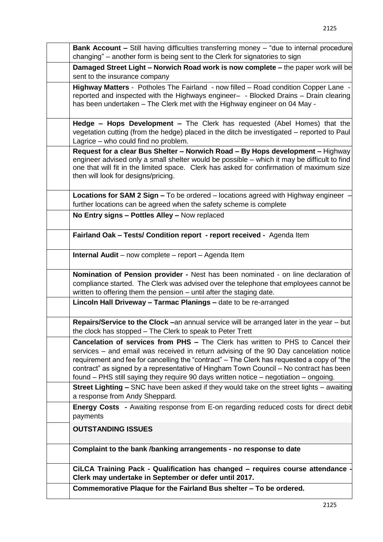| <b>Bank Account - Still having difficulties transferring money - "due to internal procedure</b><br>changing" – another form is being sent to the Clerk for signatories to sign                                                                                                                                                                                                                                                                                   |
|------------------------------------------------------------------------------------------------------------------------------------------------------------------------------------------------------------------------------------------------------------------------------------------------------------------------------------------------------------------------------------------------------------------------------------------------------------------|
| Damaged Street Light - Norwich Road work is now complete - the paper work will be<br>sent to the insurance company                                                                                                                                                                                                                                                                                                                                               |
| Highway Matters - Potholes The Fairland - now filled - Road condition Copper Lane -<br>reported and inspected with the Highways engineer- - Blocked Drains - Drain clearing<br>has been undertaken - The Clerk met with the Highway engineer on 04 May -                                                                                                                                                                                                         |
| Hedge - Hops Development - The Clerk has requested (Abel Homes) that the<br>vegetation cutting (from the hedge) placed in the ditch be investigated - reported to Paul<br>Lagrice – who could find no problem.                                                                                                                                                                                                                                                   |
| Request for a clear Bus Shelter - Norwich Road - By Hops development - Highway<br>engineer advised only a small shelter would be possible - which it may be difficult to find<br>one that will fit in the limited space. Clerk has asked for confirmation of maximum size<br>then will look for designs/pricing.                                                                                                                                                 |
| Locations for SAM 2 Sign - To be ordered - locations agreed with Highway engineer -<br>further locations can be agreed when the safety scheme is complete                                                                                                                                                                                                                                                                                                        |
| No Entry signs - Pottles Alley - Now replaced                                                                                                                                                                                                                                                                                                                                                                                                                    |
| Fairland Oak - Tests/ Condition report - report received - Agenda Item                                                                                                                                                                                                                                                                                                                                                                                           |
| <b>Internal Audit</b> – now complete – report – Agenda Item                                                                                                                                                                                                                                                                                                                                                                                                      |
| Nomination of Pension provider - Nest has been nominated - on line declaration of<br>compliance started. The Clerk was advised over the telephone that employees cannot be<br>written to offering them the pension - until after the staging date.                                                                                                                                                                                                               |
| Lincoln Hall Driveway - Tarmac Planings - date to be re-arranged                                                                                                                                                                                                                                                                                                                                                                                                 |
| Repairs/Service to the Clock -an annual service will be arranged later in the year - but<br>the clock has stopped – The Clerk to speak to Peter Trett                                                                                                                                                                                                                                                                                                            |
| <b>Cancelation of services from PHS - The Clerk has written to PHS to Cancel their</b><br>services - and email was received in return advising of the 90 Day cancelation notice<br>requirement and fee for cancelling the "contract" – The Clerk has requested a copy of "the<br>contract" as signed by a representative of Hingham Town Council – No contract has been<br>found - PHS still saying they require 90 days written notice - negotiation - ongoing. |
| <b>Street Lighting - SNC</b> have been asked if they would take on the street lights - awaiting<br>a response from Andy Sheppard.                                                                                                                                                                                                                                                                                                                                |
| <b>Energy Costs</b> - Awaiting response from E-on regarding reduced costs for direct debit<br>payments                                                                                                                                                                                                                                                                                                                                                           |
| <b>OUTSTANDING ISSUES</b>                                                                                                                                                                                                                                                                                                                                                                                                                                        |
| Complaint to the bank /banking arrangements - no response to date                                                                                                                                                                                                                                                                                                                                                                                                |
| CILCA Training Pack - Qualification has changed - requires course attendance<br>Clerk may undertake in September or defer until 2017.                                                                                                                                                                                                                                                                                                                            |
| Commemorative Plaque for the Fairland Bus shelter - To be ordered.                                                                                                                                                                                                                                                                                                                                                                                               |